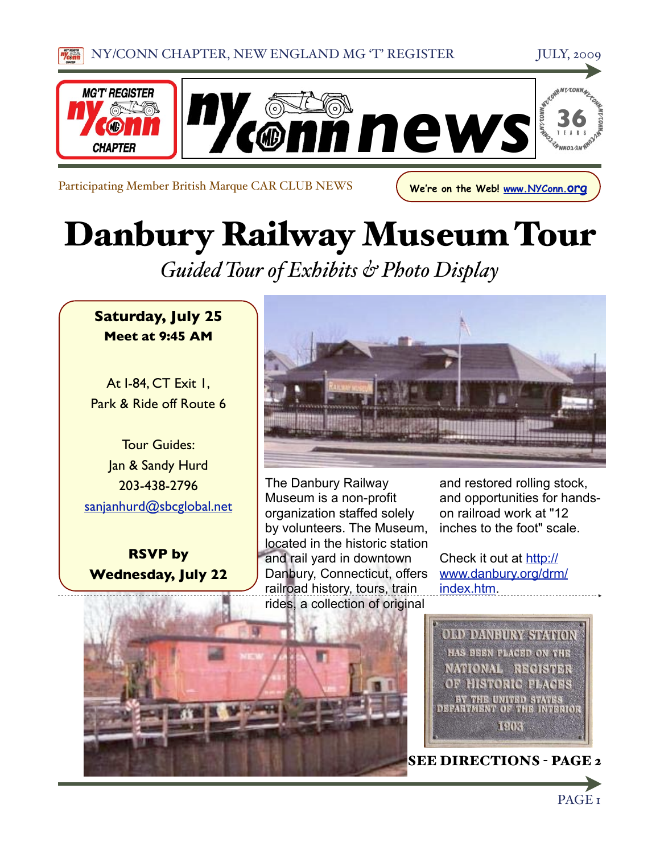



Participating Member British Marque CAR CLUB NEWS **We're on the Web! [www.NYConn.org](http://www.NYConn.org)** 

Danbury Railway Museum Tour

*Guided Tour of Exhibits & Photo Display*

### **Saturday, July 25 Meet at 9:45 AM**

At I-84, CT Exit 1, Park & Ride off Route 6

Tour Guides: Jan & Sandy Hurd 203-438-2796 [sanjanhurd@sbcglobal.net](mailto:sanjanhurd@sbcglobal.net)

**RSVP by Wednesday, July 22**



The Danbury Railway Museum is a non-profit organization staffed solely by volunteers. The Museum, located in the historic station and rail yard in downtown Danbury, Connecticut, offers railroad history, tours, train rides, a collection of original

and restored rolling stock, and opportunities for handson railroad work at "12 inches to the foot" scale.

Check it out at [http://](http://www.danbury.org/drm/index.htm) [www.danbury.org/drm/](http://www.danbury.org/drm/index.htm) [index.htm.](http://www.danbury.org/drm/index.htm)



SEE DIRECTIONS - PAGE 2

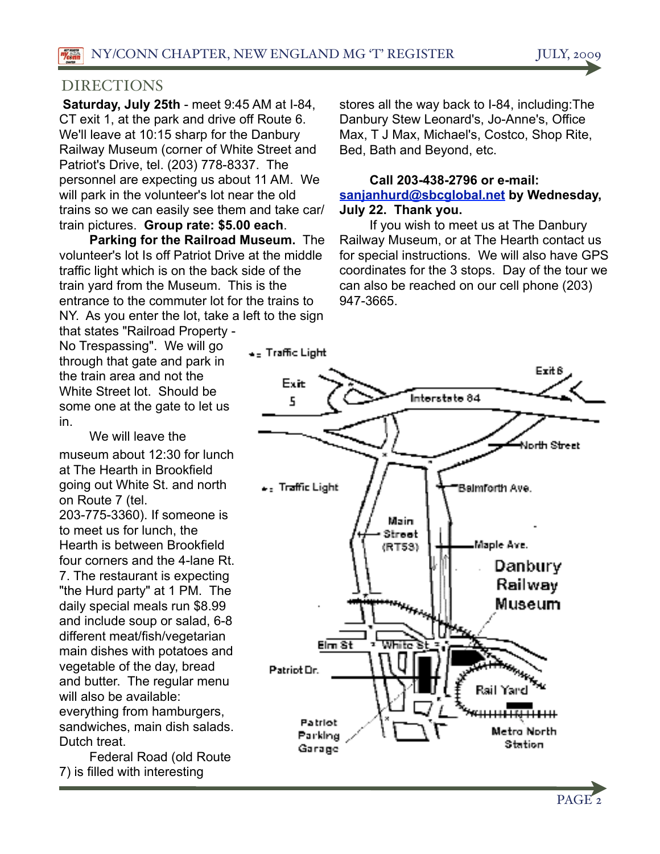#### DIRECTIONS

**Saturday, July 25th** - meet 9:45 AM at I-84, CT exit 1, at the park and drive off Route 6. We'll leave at 10:15 sharp for the Danbury Railway Museum (corner of White Street and Patriot's Drive, tel. (203) 778-8337. The personnel are expecting us about 11 AM. We will park in the volunteer's lot near the old trains so we can easily see them and take car/ train pictures. **Group rate: \$5.00 each**.

**Parking for the Railroad Museum.** The volunteer's lot Is off Patriot Drive at the middle traffic light which is on the back side of the train yard from the Museum. This is the entrance to the commuter lot for the trains to NY. As you enter the lot, take a left to the sign

that states "Railroad Property - No Trespassing". We will go through that gate and park in the train area and not the White Street lot. Should be some one at the gate to let us in.

We will leave the

museum about 12:30 for lunch at The Hearth in Brookfield going out White St. and north on Route 7 (tel. 203-775-3360). If someone is to meet us for lunch, the Hearth is between Brookfield four corners and the 4-lane Rt. 7. The restaurant is expecting "the Hurd party" at 1 PM. The daily special meals run \$8.99 and include soup or salad, 6-8 different meat/fish/vegetarian main dishes with potatoes and vegetable of the day, bread and butter. The regular menu will also be available: everything from hamburgers, sandwiches, main dish salads. Dutch treat.

 Federal Road (old Route 7) is filled with interesting

stores all the way back to I-84, including:The Danbury Stew Leonard's, Jo-Anne's, Office Max, T J Max, Michael's, Costco, Shop Rite, Bed, Bath and Beyond, etc.

#### **Call 203-438-2796 or e-mail: [sanjanhurd@sbcglobal.net](mailto:sanjanhurd@sbcglobal.net) by Wednesday, July 22. Thank you.**

 If you wish to meet us at The Danbury Railway Museum, or at The Hearth contact us for special instructions. We will also have GPS coordinates for the 3 stops. Day of the tour we can also be reached on our cell phone (203) 947-3665.



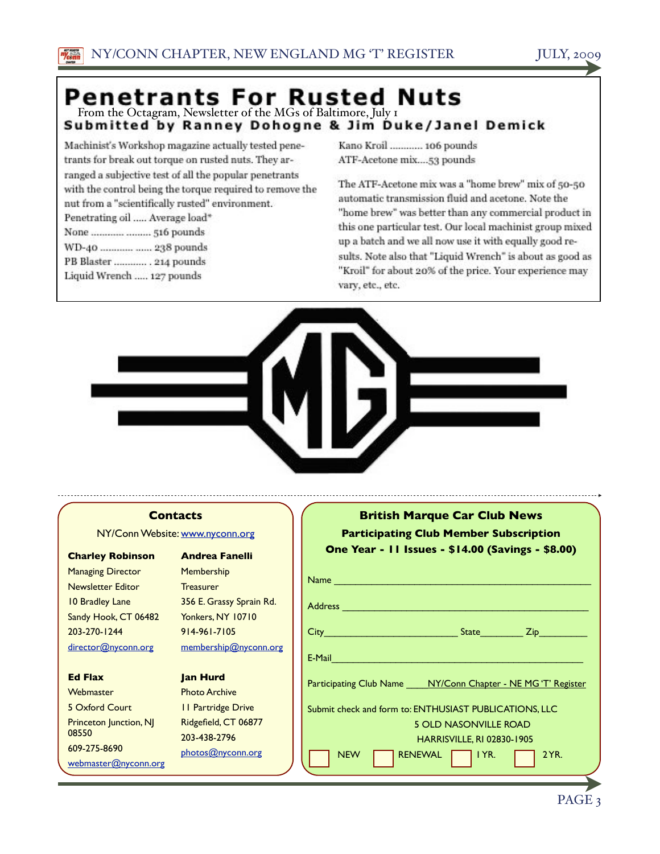# **Penetrants For Rusted Nuts**<br>From the Octagram, Newsletter of the MGs of Baltimore, July 1<br>Submitted by Ranney Dohogne & Jim Duke/Janel Demick

Machinist's Workshop magazine actually tested penetrants for break out torque on rusted nuts. They arranged a subjective test of all the popular penetrants with the control being the torque required to remove the nut from a "scientifically rusted" environment. Penetrating oil Average load\*

| a number of stressing next control a by the banging and those |  |
|---------------------------------------------------------------|--|
| None   516 pounds                                             |  |
| WD-40  238 pounds                                             |  |
| PB Blaster  214 pounds                                        |  |
| Liquid Wrench  127 pounds                                     |  |

Kano Kroil ............ 106 pounds ATF-Acetone mix....53 pounds

The ATF-Acetone mix was a "home brew" mix of 50-50 automatic transmission fluid and acetone. Note the "home brew" was better than any commercial product in this one particular test. Our local machinist group mixed up a batch and we all now use it with equally good results. Note also that "Liquid Wrench" is about as good as "Kroil" for about 20% of the price. Your experience may vary, etc., etc.



#### **Contacts**

NY/Conn Website: [www.nyconn.org](http://www.nyconn.org)

#### **Charley Robinson**

Managing Director Newsletter Editor 10 Bradley Lane Sandy Hook, CT 06482 203-270-1244 [director@nyconn.org](mailto:director@nyconn.org)

#### **Ed Flax**

**Webmaster** 5 Oxford Court Princeton Junction, NJ 08550 609-275-8690 [webmaster@nyconn.org](mailto:webmaster@nyconn.org)

**Andrea Fanelli Membership Treasurer** 356 E. Grassy Sprain Rd. Yonkers, NY 10710 914-961-7105 [membership@nyconn.org](mailto:membership@nyconn.org)

#### **Jan Hurd**

Photo Archive 11 Partridge Drive Ridgefield, CT 06877 203-438-2796 [photos@nyconn.org](mailto:photos@nyconn.org)

|                                                        | <b>British Marque Car Club News</b><br><b>Participating Club Member Subscription</b><br>One Year - 11 Issues - \$14.00 (Savings - \$8.00)                                                                                      |  |
|--------------------------------------------------------|--------------------------------------------------------------------------------------------------------------------------------------------------------------------------------------------------------------------------------|--|
|                                                        | Name and the contract of the contract of the contract of the contract of the contract of the contract of the contract of the contract of the contract of the contract of the contract of the contract of the contract of the c |  |
|                                                        | Address <b>Management Community Community</b>                                                                                                                                                                                  |  |
|                                                        |                                                                                                                                                                                                                                |  |
|                                                        | E-Mail Participation and the contract of the contract of the contract of the contract of the contract of the contract of the contract of the contract of the contract of the contract of the contract of the contract of the c |  |
|                                                        | Participating Club Name ____ NY/Conn Chapter - NE MG'T' Register                                                                                                                                                               |  |
| Submit check and form to: ENTHUSIAST PUBLICATIONS, LLC |                                                                                                                                                                                                                                |  |
| <b>5 OLD NASONVILLE ROAD</b>                           |                                                                                                                                                                                                                                |  |
|                                                        | <b>HARRISVILLE, RI 02830-1905</b>                                                                                                                                                                                              |  |
|                                                        | RENEWAL $\Box$ IYR.<br>2 YR.<br><b>NEW</b>                                                                                                                                                                                     |  |
|                                                        |                                                                                                                                                                                                                                |  |

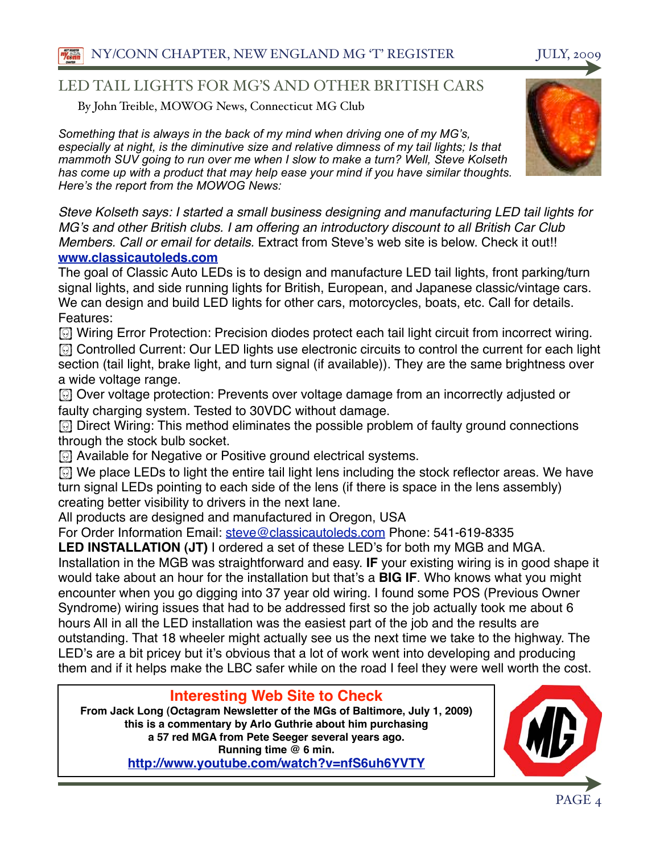#### LED TAIL LIGHTS FOR MG'S AND OTHER BRITISH CARS

By John Treible, MOWOG News, Connecticut MG Club

*Something that is always in the back of my mind when driving one of my MG's, especially at night, is the diminutive size and relative dimness of my tail lights; Is that mammoth SUV going to run over me when I slow to make a turn? Well, Steve Kolseth has come up with a product that may help ease your mind if you have similar thoughts. Here's the report from the MOWOG News:*

*Steve Kolseth says: I started a small business designing and manufacturing LED tail lights for MG*'*s and other British clubs. I am offering an introductory discount to all British Car Club Members. Call or email for details.* Extract from Steve's web site is below. Check it out!! **[www.classicautoleds.com](http://www.classicautoleds.com)**

The goal of Classic Auto LEDs is to design and manufacture LED tail lights, front parking/turn signal lights, and side running lights for British, European, and Japanese classic/vintage cars. We can design and build LED lights for other cars, motorcycles, boats, etc. Call for details. Features:

**(b)** Wiring Error Protection: Precision diodes protect each tail light circuit from incorrect wiring.

**[6] Controlled Current: Our LED lights use electronic circuits to control the current for each light** section (tail light, brake light, and turn signal (if available)). They are the same brightness over a wide voltage range.

! Over voltage protection: Prevents over voltage damage from an incorrectly adjusted or faulty charging system. Tested to 30VDC without damage.

**I** Direct Wiring: This method eliminates the possible problem of faulty ground connections through the stock bulb socket.

**(5)** Available for Negative or Positive ground electrical systems.

! We place LEDs to light the entire tail light lens including the stock reflector areas. We have turn signal LEDs pointing to each side of the lens (if there is space in the lens assembly) creating better visibility to drivers in the next lane.

All products are designed and manufactured in Oregon, USA

For Order Information Email: [steve@classicautoleds.com](mailto:steve@classicautoleds.com) Phone: 541-619-8335

**LED INSTALLATION (JT)** I ordered a set of these LED's for both my MGB and MGA. Installation in the MGB was straightforward and easy. **IF** your existing wiring is in good shape it would take about an hour for the installation but that's a **BIG IF**. Who knows what you might encounter when you go digging into 37 year old wiring. I found some POS (Previous Owner Syndrome) wiring issues that had to be addressed first so the job actually took me about 6 hours All in all the LED installation was the easiest part of the job and the results are outstanding. That 18 wheeler might actually see us the next time we take to the highway. The LED's are a bit pricey but it's obvious that a lot of work went into developing and producing them and if it helps make the LBC safer while on the road I feel they were well worth the cost.

#### **Interesting Web Site to Check**

**From Jack Long (Octagram Newsletter of the MGs of Baltimore, July 1, 2009) this is a commentary by Arlo Guthrie about him purchasing a 57 red MGA from Pete Seeger several years ago. Running time @ 6 min. <http://www.youtube.com/watch?v=nfS6uh6YVTY>**

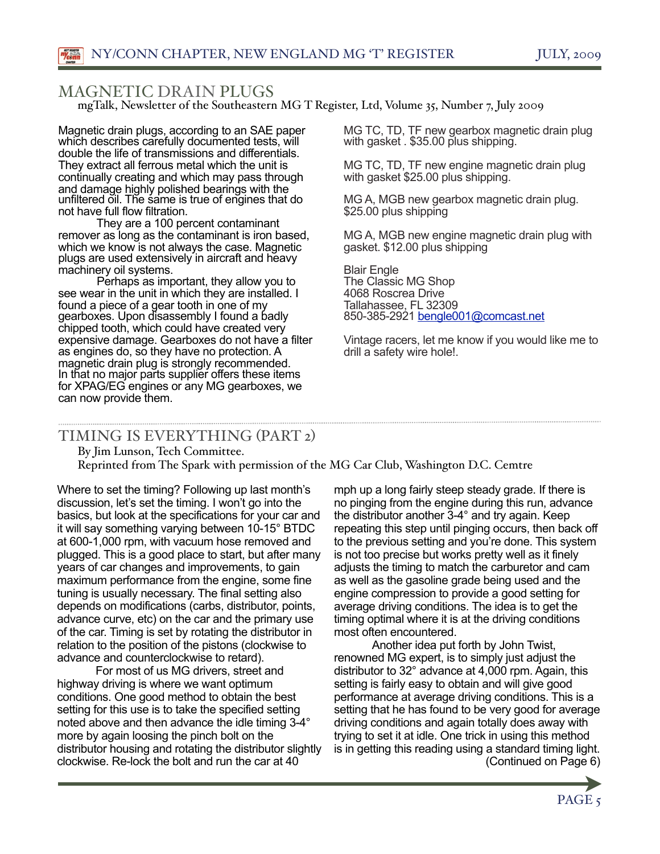#### MAGNETIC DRAIN PLUGS

mgTalk, Newsletter of the Southeastern MG T Register, Ltd, Volume 35, Number 7, July 2009

Magnetic drain plugs, according to an SAE paper which describes carefully documented tests, will double the life of transmissions and differentials. They extract all ferrous metal which the unit is continually creating and which may pass through and damage highly polished bearings with the unfiltered oil. The same is true of engines that do not have full flow filtration.

 They are a 100 percent contaminant remover as long as the contaminant is iron based, which we know is not always the case. Magnetic plugs are used extensively in aircraft and heavy machinery oil systems.

 Perhaps as important, they allow you to see wear in the unit in which they are installed. I found a piece of a gear tooth in one of my gearboxes. Upon disassembly I found a badly chipped tooth, which could have created very expensive damage. Gearboxes do not have a filter as engines do, so they have no protection. A magnetic drain plug is strongly recommended. In that no major parts supplier offers these items for XPAG/EG engines or any MG gearboxes, we can now provide them.

MG TC, TD, TF new gearbox magnetic drain plug with gasket . \$35.00 plus shipping.

MG TC, TD, TF new engine magnetic drain plug with gasket \$25.00 plus shipping.

MG A, MGB new gearbox magnetic drain plug. \$25.00 plus shipping

MG A, MGB new engine magnetic drain plug with gasket. \$12.00 plus shipping

Blair Engle The Classic MG Shop 4068 Roscrea Drive Tallahassee, FL 32309 850-385-2921 [bengle001@comcast.net](mailto:bengle001@comcast.net)

Vintage racers, let me know if you would like me to drill a safety wire hole!.

#### TIMING IS EVERYTHING (PART 2)

By Jim Lunson, Tech Committee.

Reprinted from The Spark with permission of the MG Car Club, Washington D.C. Cemtre

Where to set the timing? Following up last month's discussion, let's set the timing. I won't go into the basics, but look at the specifications for your car and it will say something varying between 10-15° BTDC at 600-1,000 rpm, with vacuum hose removed and plugged. This is a good place to start, but after many years of car changes and improvements, to gain maximum performance from the engine, some fine tuning is usually necessary. The final setting also depends on modifications (carbs, distributor, points, advance curve, etc) on the car and the primary use of the car. Timing is set by rotating the distributor in relation to the position of the pistons (clockwise to advance and counterclockwise to retard).

 For most of us MG drivers, street and highway driving is where we want optimum conditions. One good method to obtain the best setting for this use is to take the specified setting noted above and then advance the idle timing 3-4° more by again loosing the pinch bolt on the distributor housing and rotating the distributor slightly clockwise. Re-lock the bolt and run the car at 40

mph up a long fairly steep steady grade. If there is no pinging from the engine during this run, advance the distributor another 3-4° and try again. Keep repeating this step until pinging occurs, then back off to the previous setting and you're done. This system is not too precise but works pretty well as it finely adjusts the timing to match the carburetor and cam as well as the gasoline grade being used and the engine compression to provide a good setting for average driving conditions. The idea is to get the timing optimal where it is at the driving conditions most often encountered.

 Another idea put forth by John Twist, renowned MG expert, is to simply just adjust the distributor to 32° advance at 4,000 rpm. Again, this setting is fairly easy to obtain and will give good performance at average driving conditions. This is a setting that he has found to be very good for average driving conditions and again totally does away with trying to set it at idle. One trick in using this method is in getting this reading using a standard timing light. (Continued on Page 6)

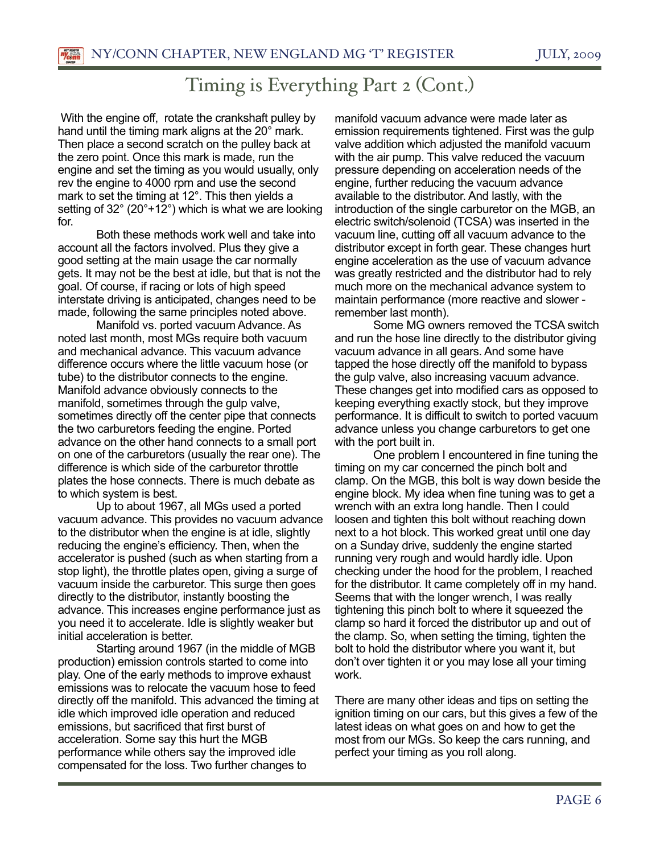## Timing is Everything Part 2 (Cont.)

 With the engine off, rotate the crankshaft pulley by hand until the timing mark aligns at the 20° mark. Then place a second scratch on the pulley back at the zero point. Once this mark is made, run the engine and set the timing as you would usually, only rev the engine to 4000 rpm and use the second mark to set the timing at 12°. This then yields a setting of 32° (20°+12°) which is what we are looking for.

 Both these methods work well and take into account all the factors involved. Plus they give a good setting at the main usage the car normally gets. It may not be the best at idle, but that is not the goal. Of course, if racing or lots of high speed interstate driving is anticipated, changes need to be made, following the same principles noted above.

 Manifold vs. ported vacuum Advance. As noted last month, most MGs require both vacuum and mechanical advance. This vacuum advance difference occurs where the little vacuum hose (or tube) to the distributor connects to the engine. Manifold advance obviously connects to the manifold, sometimes through the gulp valve, sometimes directly off the center pipe that connects the two carburetors feeding the engine. Ported advance on the other hand connects to a small port on one of the carburetors (usually the rear one). The difference is which side of the carburetor throttle plates the hose connects. There is much debate as to which system is best.

 Up to about 1967, all MGs used a ported vacuum advance. This provides no vacuum advance to the distributor when the engine is at idle, slightly reducing the engine's efficiency. Then, when the accelerator is pushed (such as when starting from a stop light), the throttle plates open, giving a surge of vacuum inside the carburetor. This surge then goes directly to the distributor, instantly boosting the advance. This increases engine performance just as you need it to accelerate. Idle is slightly weaker but initial acceleration is better.

 Starting around 1967 (in the middle of MGB production) emission controls started to come into play. One of the early methods to improve exhaust emissions was to relocate the vacuum hose to feed directly off the manifold. This advanced the timing at idle which improved idle operation and reduced emissions, but sacrificed that first burst of acceleration. Some say this hurt the MGB performance while others say the improved idle compensated for the loss. Two further changes to

manifold vacuum advance were made later as emission requirements tightened. First was the gulp valve addition which adjusted the manifold vacuum with the air pump. This valve reduced the vacuum pressure depending on acceleration needs of the engine, further reducing the vacuum advance available to the distributor. And lastly, with the introduction of the single carburetor on the MGB, an electric switch/solenoid (TCSA) was inserted in the vacuum line, cutting off all vacuum advance to the distributor except in forth gear. These changes hurt engine acceleration as the use of vacuum advance was greatly restricted and the distributor had to rely much more on the mechanical advance system to maintain performance (more reactive and slower remember last month).

 Some MG owners removed the TCSA switch and run the hose line directly to the distributor giving vacuum advance in all gears. And some have tapped the hose directly off the manifold to bypass the gulp valve, also increasing vacuum advance. These changes get into modified cars as opposed to keeping everything exactly stock, but they improve performance. It is difficult to switch to ported vacuum advance unless you change carburetors to get one with the port built in.

 One problem I encountered in fine tuning the timing on my car concerned the pinch bolt and clamp. On the MGB, this bolt is way down beside the engine block. My idea when fine tuning was to get a wrench with an extra long handle. Then I could loosen and tighten this bolt without reaching down next to a hot block. This worked great until one day on a Sunday drive, suddenly the engine started running very rough and would hardly idle. Upon checking under the hood for the problem, I reached for the distributor. It came completely off in my hand. Seems that with the longer wrench, I was really tightening this pinch bolt to where it squeezed the clamp so hard it forced the distributor up and out of the clamp. So, when setting the timing, tighten the bolt to hold the distributor where you want it, but don't over tighten it or you may lose all your timing work.

There are many other ideas and tips on setting the ignition timing on our cars, but this gives a few of the latest ideas on what goes on and how to get the most from our MGs. So keep the cars running, and perfect your timing as you roll along.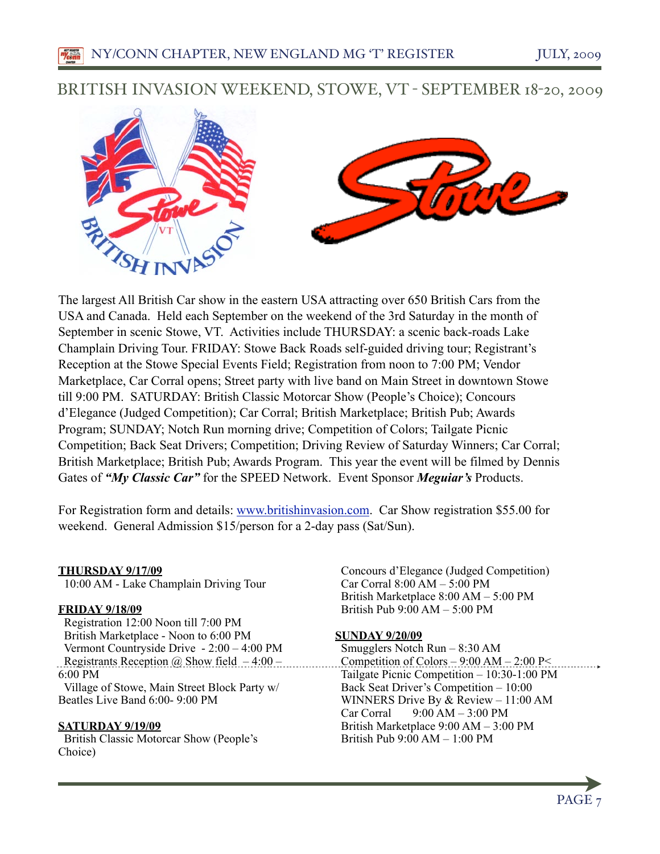### BRITISH INVASION WEEKEND, STOWE, VT - SEPTEMBER 18-20, 2009



The largest All British Car show in the eastern USA attracting over 650 British Cars from the USA and Canada. Held each September on the weekend of the 3rd Saturday in the month of September in scenic Stowe, VT. Activities include THURSDAY: a scenic back-roads Lake Champlain Driving Tour. FRIDAY: Stowe Back Roads self-guided driving tour; Registrant's Reception at the Stowe Special Events Field; Registration from noon to 7:00 PM; Vendor Marketplace, Car Corral opens; Street party with live band on Main Street in downtown Stowe till 9:00 PM. SATURDAY: British Classic Motorcar Show (People's Choice); Concours d'Elegance (Judged Competition); Car Corral; British Marketplace; British Pub; Awards Program; SUNDAY; Notch Run morning drive; Competition of Colors; Tailgate Picnic Competition; Back Seat Drivers; Competition; Driving Review of Saturday Winners; Car Corral; British Marketplace; British Pub; Awards Program. This year the event will be filmed by Dennis Gates of *"My Classic Car"* for the SPEED Network. Event Sponsor *Meguiar's* Products.

For Registration form and details: [www.britishinvasion.com.](http://www.britishinvasion.com) Car Show registration \$55.00 for weekend. General Admission \$15/person for a 2-day pass (Sat/Sun).

#### **THURSDAY 9/17/09**

10:00 AM - Lake Champlain Driving Tour

#### **FRIDAY 9/18/09**

 Registration 12:00 Noon till 7:00 PM British Marketplace - Noon to 6:00 PM Vermont Countryside Drive - 2:00 – 4:00 PM Registrants Reception @ Show field  $-4:00 -$  Competition of Colors  $-9:00$  AM  $-2:00$  P 6:00 PM Village of Stowe, Main Street Block Party w/ Beatles Live Band 6:00- 9:00 PM

#### **SATURDAY 9/19/09**

 British Classic Motorcar Show (People's Choice)

 Concours d'Elegance (Judged Competition) Car Corral 8:00 AM – 5:00 PM British Marketplace 8:00 AM – 5:00 PM British Pub 9:00 AM – 5:00 PM

#### **SUNDAY 9/20/09**

 Smugglers Notch Run – 8:30 AM Tailgate Picnic Competition – 10:30-1:00 PM Back Seat Driver's Competition – 10:00 WINNERS Drive By & Review – 11:00 AM Car Corral  $9:00$  AM  $-3:00$  PM British Marketplace 9:00 AM – 3:00 PM British Pub 9:00 AM – 1:00 PM